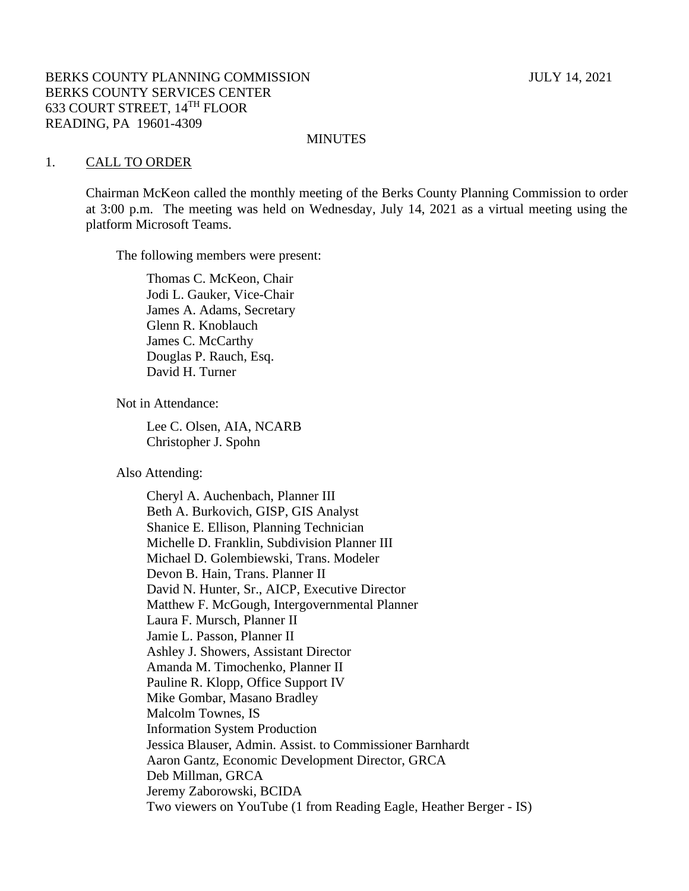#### MINUTES

#### 1. CALL TO ORDER

Chairman McKeon called the monthly meeting of the Berks County Planning Commission to order at 3:00 p.m. The meeting was held on Wednesday, July 14, 2021 as a virtual meeting using the platform Microsoft Teams.

The following members were present:

Thomas C. McKeon, Chair Jodi L. Gauker, Vice-Chair James A. Adams, Secretary Glenn R. Knoblauch James C. McCarthy Douglas P. Rauch, Esq. David H. Turner

Not in Attendance:

Lee C. Olsen, AIA, NCARB Christopher J. Spohn

Also Attending:

Cheryl A. Auchenbach, Planner III Beth A. Burkovich, GISP, GIS Analyst Shanice E. Ellison, Planning Technician Michelle D. Franklin, Subdivision Planner III Michael D. Golembiewski, Trans. Modeler Devon B. Hain, Trans. Planner II David N. Hunter, Sr., AICP, Executive Director Matthew F. McGough, Intergovernmental Planner Laura F. Mursch, Planner II Jamie L. Passon, Planner II Ashley J. Showers, Assistant Director Amanda M. Timochenko, Planner II Pauline R. Klopp, Office Support IV Mike Gombar, Masano Bradley Malcolm Townes, IS Information System Production Jessica Blauser, Admin. Assist. to Commissioner Barnhardt Aaron Gantz, Economic Development Director, GRCA Deb Millman, GRCA Jeremy Zaborowski, BCIDA Two viewers on YouTube (1 from Reading Eagle, Heather Berger - IS)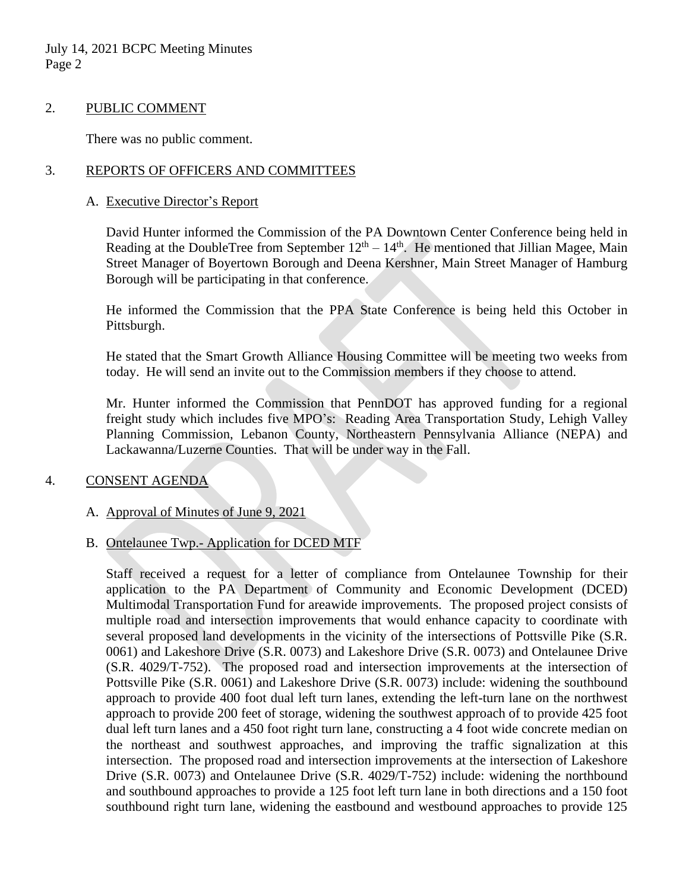July 14, 2021 BCPC Meeting Minutes Page 2

## 2. PUBLIC COMMENT

There was no public comment.

## 3. REPORTS OF OFFICERS AND COMMITTEES

#### A. Executive Director's Report

David Hunter informed the Commission of the PA Downtown Center Conference being held in Reading at the DoubleTree from September  $12<sup>th</sup> - 14<sup>th</sup>$ . He mentioned that Jillian Magee, Main Street Manager of Boyertown Borough and Deena Kershner, Main Street Manager of Hamburg Borough will be participating in that conference.

He informed the Commission that the PPA State Conference is being held this October in Pittsburgh.

He stated that the Smart Growth Alliance Housing Committee will be meeting two weeks from today. He will send an invite out to the Commission members if they choose to attend.

Mr. Hunter informed the Commission that PennDOT has approved funding for a regional freight study which includes five MPO's: Reading Area Transportation Study, Lehigh Valley Planning Commission, Lebanon County, Northeastern Pennsylvania Alliance (NEPA) and Lackawanna/Luzerne Counties. That will be under way in the Fall.

## 4. CONSENT AGENDA

## A. Approval of Minutes of June 9, 2021

## B. Ontelaunee Twp.- Application for DCED MTF

Staff received a request for a letter of compliance from Ontelaunee Township for their application to the PA Department of Community and Economic Development (DCED) Multimodal Transportation Fund for areawide improvements. The proposed project consists of multiple road and intersection improvements that would enhance capacity to coordinate with several proposed land developments in the vicinity of the intersections of Pottsville Pike (S.R. 0061) and Lakeshore Drive (S.R. 0073) and Lakeshore Drive (S.R. 0073) and Ontelaunee Drive (S.R. 4029/T-752). The proposed road and intersection improvements at the intersection of Pottsville Pike (S.R. 0061) and Lakeshore Drive (S.R. 0073) include: widening the southbound approach to provide 400 foot dual left turn lanes, extending the left-turn lane on the northwest approach to provide 200 feet of storage, widening the southwest approach of to provide 425 foot dual left turn lanes and a 450 foot right turn lane, constructing a 4 foot wide concrete median on the northeast and southwest approaches, and improving the traffic signalization at this intersection. The proposed road and intersection improvements at the intersection of Lakeshore Drive (S.R. 0073) and Ontelaunee Drive (S.R. 4029/T-752) include: widening the northbound and southbound approaches to provide a 125 foot left turn lane in both directions and a 150 foot southbound right turn lane, widening the eastbound and westbound approaches to provide 125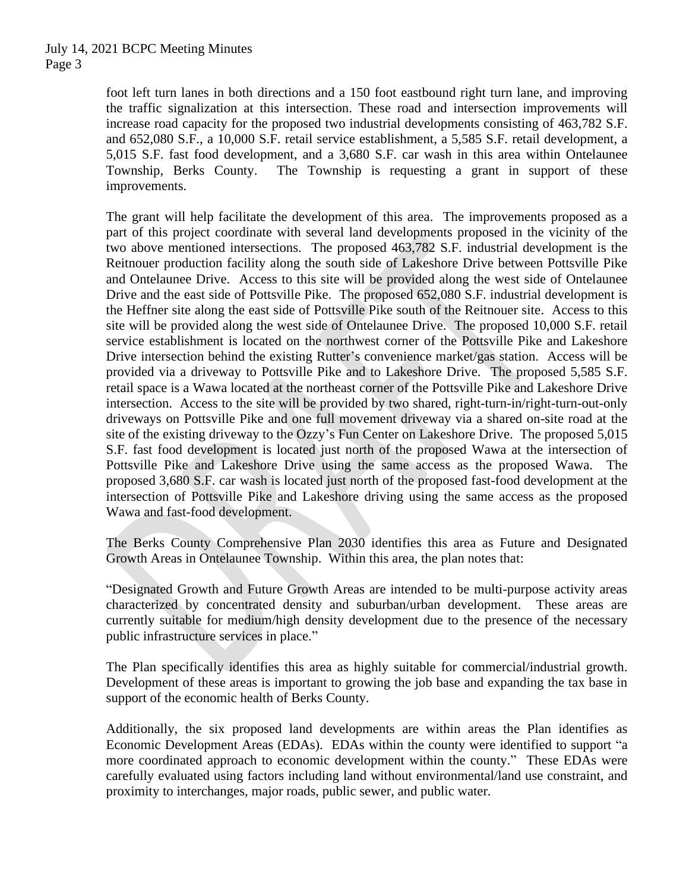foot left turn lanes in both directions and a 150 foot eastbound right turn lane, and improving the traffic signalization at this intersection. These road and intersection improvements will increase road capacity for the proposed two industrial developments consisting of 463,782 S.F. and 652,080 S.F., a 10,000 S.F. retail service establishment, a 5,585 S.F. retail development, a 5,015 S.F. fast food development, and a 3,680 S.F. car wash in this area within Ontelaunee Township, Berks County. The Township is requesting a grant in support of these improvements.

The grant will help facilitate the development of this area. The improvements proposed as a part of this project coordinate with several land developments proposed in the vicinity of the two above mentioned intersections. The proposed 463,782 S.F. industrial development is the Reitnouer production facility along the south side of Lakeshore Drive between Pottsville Pike and Ontelaunee Drive. Access to this site will be provided along the west side of Ontelaunee Drive and the east side of Pottsville Pike. The proposed 652,080 S.F. industrial development is the Heffner site along the east side of Pottsville Pike south of the Reitnouer site. Access to this site will be provided along the west side of Ontelaunee Drive. The proposed 10,000 S.F. retail service establishment is located on the northwest corner of the Pottsville Pike and Lakeshore Drive intersection behind the existing Rutter's convenience market/gas station. Access will be provided via a driveway to Pottsville Pike and to Lakeshore Drive. The proposed 5,585 S.F. retail space is a Wawa located at the northeast corner of the Pottsville Pike and Lakeshore Drive intersection. Access to the site will be provided by two shared, right-turn-in/right-turn-out-only driveways on Pottsville Pike and one full movement driveway via a shared on-site road at the site of the existing driveway to the Ozzy's Fun Center on Lakeshore Drive. The proposed 5,015 S.F. fast food development is located just north of the proposed Wawa at the intersection of Pottsville Pike and Lakeshore Drive using the same access as the proposed Wawa. The proposed 3,680 S.F. car wash is located just north of the proposed fast-food development at the intersection of Pottsville Pike and Lakeshore driving using the same access as the proposed Wawa and fast-food development.

The Berks County Comprehensive Plan 2030 identifies this area as Future and Designated Growth Areas in Ontelaunee Township. Within this area, the plan notes that:

"Designated Growth and Future Growth Areas are intended to be multi-purpose activity areas characterized by concentrated density and suburban/urban development. These areas are currently suitable for medium/high density development due to the presence of the necessary public infrastructure services in place."

The Plan specifically identifies this area as highly suitable for commercial/industrial growth. Development of these areas is important to growing the job base and expanding the tax base in support of the economic health of Berks County.

Additionally, the six proposed land developments are within areas the Plan identifies as Economic Development Areas (EDAs). EDAs within the county were identified to support "a more coordinated approach to economic development within the county." These EDAs were carefully evaluated using factors including land without environmental/land use constraint, and proximity to interchanges, major roads, public sewer, and public water.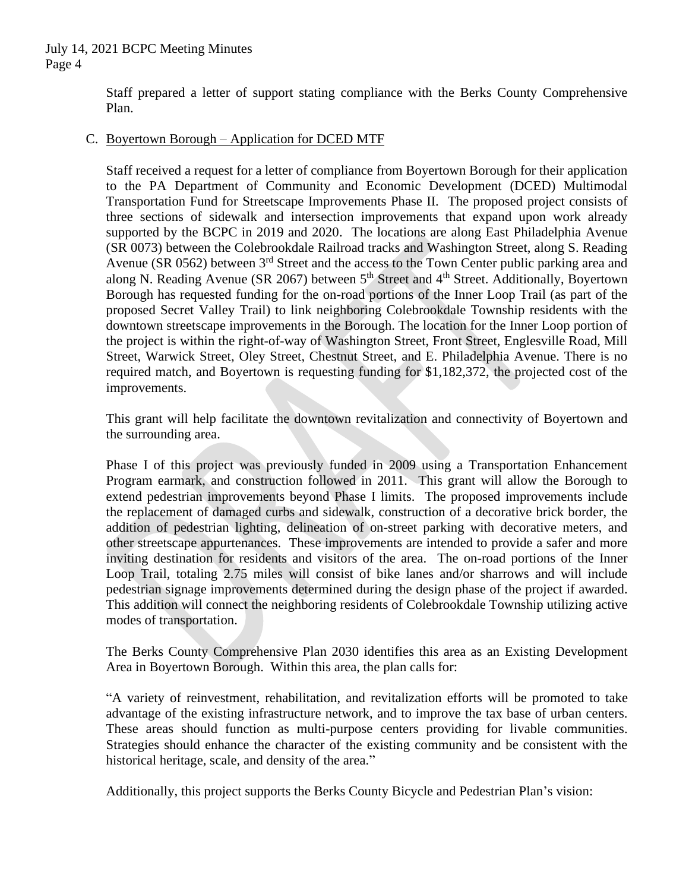Staff prepared a letter of support stating compliance with the Berks County Comprehensive Plan.

## C. Boyertown Borough – Application for DCED MTF

Staff received a request for a letter of compliance from Boyertown Borough for their application to the PA Department of Community and Economic Development (DCED) Multimodal Transportation Fund for Streetscape Improvements Phase II. The proposed project consists of three sections of sidewalk and intersection improvements that expand upon work already supported by the BCPC in 2019 and 2020. The locations are along East Philadelphia Avenue (SR 0073) between the Colebrookdale Railroad tracks and Washington Street, along S. Reading Avenue (SR 0562) between  $3<sup>rd</sup>$  Street and the access to the Town Center public parking area and along N. Reading Avenue (SR 2067) between 5<sup>th</sup> Street and 4<sup>th</sup> Street. Additionally, Boyertown Borough has requested funding for the on-road portions of the Inner Loop Trail (as part of the proposed Secret Valley Trail) to link neighboring Colebrookdale Township residents with the downtown streetscape improvements in the Borough. The location for the Inner Loop portion of the project is within the right-of-way of Washington Street, Front Street, Englesville Road, Mill Street, Warwick Street, Oley Street, Chestnut Street, and E. Philadelphia Avenue. There is no required match, and Boyertown is requesting funding for \$1,182,372, the projected cost of the improvements.

This grant will help facilitate the downtown revitalization and connectivity of Boyertown and the surrounding area.

Phase I of this project was previously funded in 2009 using a Transportation Enhancement Program earmark, and construction followed in 2011. This grant will allow the Borough to extend pedestrian improvements beyond Phase I limits. The proposed improvements include the replacement of damaged curbs and sidewalk, construction of a decorative brick border, the addition of pedestrian lighting, delineation of on-street parking with decorative meters, and other streetscape appurtenances. These improvements are intended to provide a safer and more inviting destination for residents and visitors of the area. The on-road portions of the Inner Loop Trail, totaling 2.75 miles will consist of bike lanes and/or sharrows and will include pedestrian signage improvements determined during the design phase of the project if awarded. This addition will connect the neighboring residents of Colebrookdale Township utilizing active modes of transportation.

The Berks County Comprehensive Plan 2030 identifies this area as an Existing Development Area in Boyertown Borough. Within this area, the plan calls for:

"A variety of reinvestment, rehabilitation, and revitalization efforts will be promoted to take advantage of the existing infrastructure network, and to improve the tax base of urban centers. These areas should function as multi-purpose centers providing for livable communities. Strategies should enhance the character of the existing community and be consistent with the historical heritage, scale, and density of the area."

Additionally, this project supports the Berks County Bicycle and Pedestrian Plan's vision: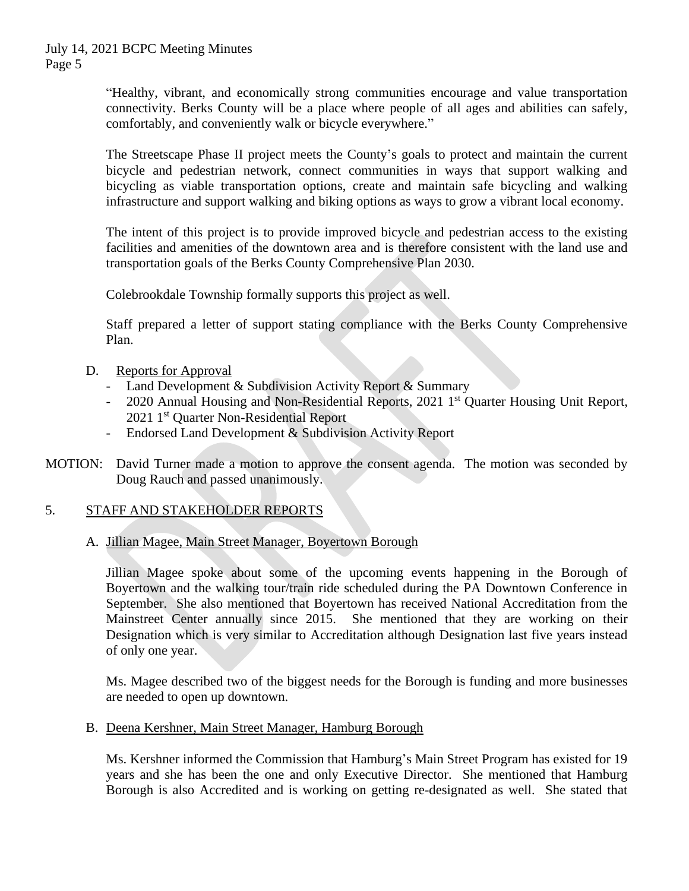July 14, 2021 BCPC Meeting Minutes Page 5

> "Healthy, vibrant, and economically strong communities encourage and value transportation connectivity. Berks County will be a place where people of all ages and abilities can safely, comfortably, and conveniently walk or bicycle everywhere."

> The Streetscape Phase II project meets the County's goals to protect and maintain the current bicycle and pedestrian network, connect communities in ways that support walking and bicycling as viable transportation options, create and maintain safe bicycling and walking infrastructure and support walking and biking options as ways to grow a vibrant local economy.

> The intent of this project is to provide improved bicycle and pedestrian access to the existing facilities and amenities of the downtown area and is therefore consistent with the land use and transportation goals of the Berks County Comprehensive Plan 2030.

Colebrookdale Township formally supports this project as well.

Staff prepared a letter of support stating compliance with the Berks County Comprehensive Plan.

- D. Reports for Approval
	- Land Development & Subdivision Activity Report & Summary
	- 2020 Annual Housing and Non-Residential Reports, 2021 1<sup>st</sup> Quarter Housing Unit Report, 2021 1st Quarter Non-Residential Report
	- Endorsed Land Development & Subdivision Activity Report
- MOTION: David Turner made a motion to approve the consent agenda. The motion was seconded by Doug Rauch and passed unanimously.

# 5. STAFF AND STAKEHOLDER REPORTS

## A. Jillian Magee, Main Street Manager, Boyertown Borough

Jillian Magee spoke about some of the upcoming events happening in the Borough of Boyertown and the walking tour/train ride scheduled during the PA Downtown Conference in September. She also mentioned that Boyertown has received National Accreditation from the Mainstreet Center annually since 2015. She mentioned that they are working on their Designation which is very similar to Accreditation although Designation last five years instead of only one year.

Ms. Magee described two of the biggest needs for the Borough is funding and more businesses are needed to open up downtown.

B. Deena Kershner, Main Street Manager, Hamburg Borough

Ms. Kershner informed the Commission that Hamburg's Main Street Program has existed for 19 years and she has been the one and only Executive Director. She mentioned that Hamburg Borough is also Accredited and is working on getting re-designated as well. She stated that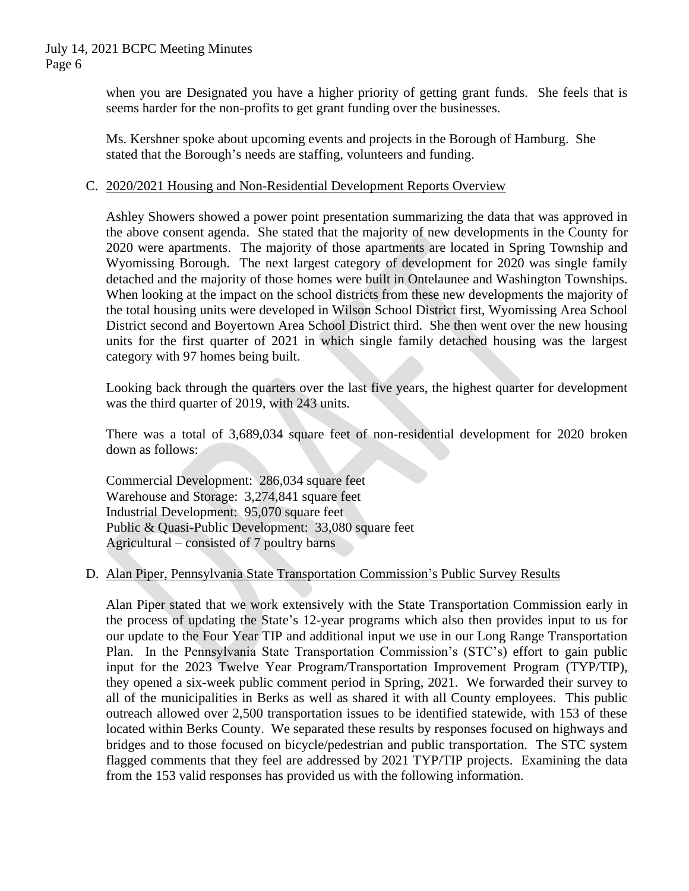when you are Designated you have a higher priority of getting grant funds. She feels that is seems harder for the non-profits to get grant funding over the businesses.

Ms. Kershner spoke about upcoming events and projects in the Borough of Hamburg. She stated that the Borough's needs are staffing, volunteers and funding.

## C. 2020/2021 Housing and Non-Residential Development Reports Overview

Ashley Showers showed a power point presentation summarizing the data that was approved in the above consent agenda. She stated that the majority of new developments in the County for 2020 were apartments. The majority of those apartments are located in Spring Township and Wyomissing Borough. The next largest category of development for 2020 was single family detached and the majority of those homes were built in Ontelaunee and Washington Townships. When looking at the impact on the school districts from these new developments the majority of the total housing units were developed in Wilson School District first, Wyomissing Area School District second and Boyertown Area School District third. She then went over the new housing units for the first quarter of 2021 in which single family detached housing was the largest category with 97 homes being built.

Looking back through the quarters over the last five years, the highest quarter for development was the third quarter of 2019, with 243 units.

There was a total of 3,689,034 square feet of non-residential development for 2020 broken down as follows:

Commercial Development: 286,034 square feet Warehouse and Storage: 3,274,841 square feet Industrial Development: 95,070 square feet Public & Quasi-Public Development: 33,080 square feet Agricultural – consisted of 7 poultry barns

# D. Alan Piper, Pennsylvania State Transportation Commission's Public Survey Results

Alan Piper stated that we work extensively with the State Transportation Commission early in the process of updating the State's 12-year programs which also then provides input to us for our update to the Four Year TIP and additional input we use in our Long Range Transportation Plan. In the Pennsylvania State Transportation Commission's (STC's) effort to gain public input for the 2023 Twelve Year Program/Transportation Improvement Program (TYP/TIP), they opened a six-week public comment period in Spring, 2021. We forwarded their survey to all of the municipalities in Berks as well as shared it with all County employees. This public outreach allowed over 2,500 transportation issues to be identified statewide, with 153 of these located within Berks County. We separated these results by responses focused on highways and bridges and to those focused on bicycle/pedestrian and public transportation. The STC system flagged comments that they feel are addressed by 2021 TYP/TIP projects. Examining the data from the 153 valid responses has provided us with the following information.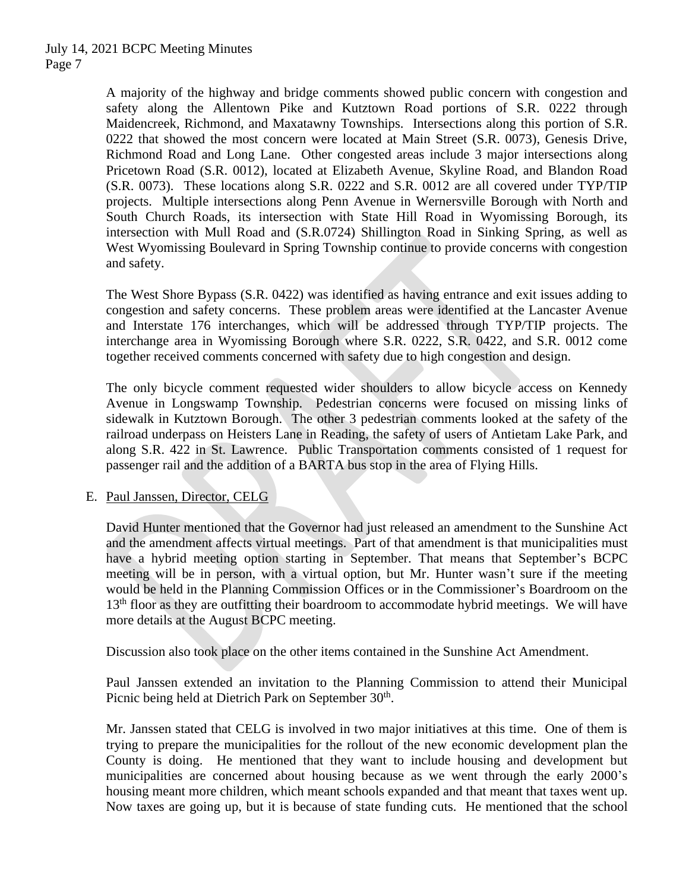A majority of the highway and bridge comments showed public concern with congestion and safety along the Allentown Pike and Kutztown Road portions of S.R. 0222 through Maidencreek, Richmond, and Maxatawny Townships. Intersections along this portion of S.R. 0222 that showed the most concern were located at Main Street (S.R. 0073), Genesis Drive, Richmond Road and Long Lane. Other congested areas include 3 major intersections along Pricetown Road (S.R. 0012), located at Elizabeth Avenue, Skyline Road, and Blandon Road (S.R. 0073). These locations along S.R. 0222 and S.R. 0012 are all covered under TYP/TIP projects. Multiple intersections along Penn Avenue in Wernersville Borough with North and South Church Roads, its intersection with State Hill Road in Wyomissing Borough, its intersection with Mull Road and (S.R.0724) Shillington Road in Sinking Spring, as well as West Wyomissing Boulevard in Spring Township continue to provide concerns with congestion and safety.

The West Shore Bypass (S.R. 0422) was identified as having entrance and exit issues adding to congestion and safety concerns. These problem areas were identified at the Lancaster Avenue and Interstate 176 interchanges, which will be addressed through TYP/TIP projects. The interchange area in Wyomissing Borough where S.R. 0222, S.R. 0422, and S.R. 0012 come together received comments concerned with safety due to high congestion and design.

The only bicycle comment requested wider shoulders to allow bicycle access on Kennedy Avenue in Longswamp Township. Pedestrian concerns were focused on missing links of sidewalk in Kutztown Borough. The other 3 pedestrian comments looked at the safety of the railroad underpass on Heisters Lane in Reading, the safety of users of Antietam Lake Park, and along S.R. 422 in St. Lawrence. Public Transportation comments consisted of 1 request for passenger rail and the addition of a BARTA bus stop in the area of Flying Hills.

## E. Paul Janssen, Director, CELG

David Hunter mentioned that the Governor had just released an amendment to the Sunshine Act and the amendment affects virtual meetings. Part of that amendment is that municipalities must have a hybrid meeting option starting in September. That means that September's BCPC meeting will be in person, with a virtual option, but Mr. Hunter wasn't sure if the meeting would be held in the Planning Commission Offices or in the Commissioner's Boardroom on the  $13<sup>th</sup>$  floor as they are outfitting their boardroom to accommodate hybrid meetings. We will have more details at the August BCPC meeting.

Discussion also took place on the other items contained in the Sunshine Act Amendment.

Paul Janssen extended an invitation to the Planning Commission to attend their Municipal Picnic being held at Dietrich Park on September 30<sup>th</sup>.

Mr. Janssen stated that CELG is involved in two major initiatives at this time. One of them is trying to prepare the municipalities for the rollout of the new economic development plan the County is doing. He mentioned that they want to include housing and development but municipalities are concerned about housing because as we went through the early 2000's housing meant more children, which meant schools expanded and that meant that taxes went up. Now taxes are going up, but it is because of state funding cuts. He mentioned that the school